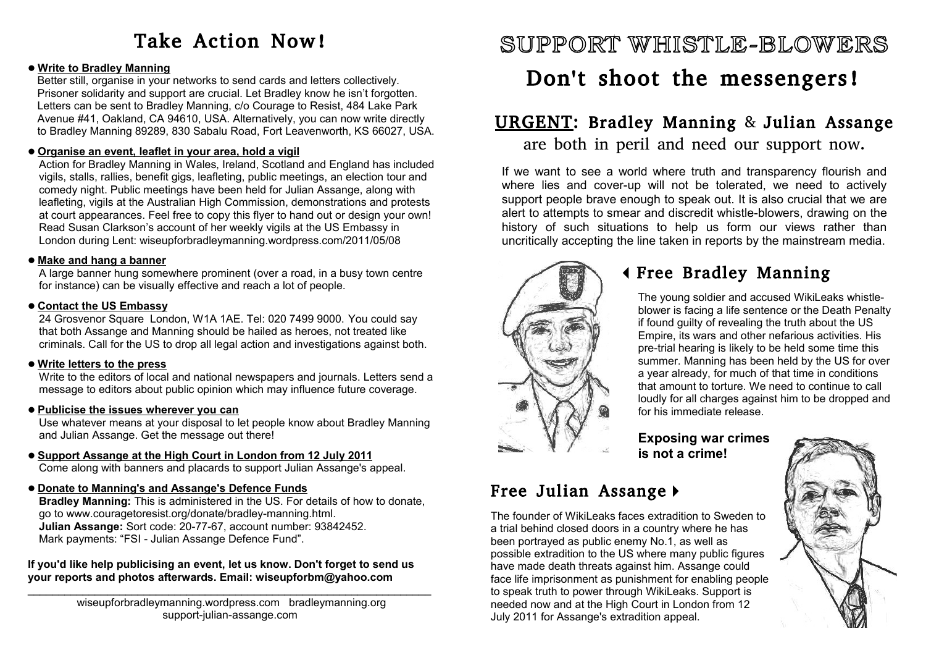# Take Action Now!

### **Write to Bradley Manning**

Better still, organise in your networks to send cards and letters collectively. Prisoner solidarity and support are crucial. Let Bradley know he isn't forgotten. Letters can be sent to Bradley Manning, c/o Courage to Resist, 484 Lake Park Avenue #41, Oakland, CA 94610, USA. Alternatively, you can now write directly to Bradley Manning 89289, 830 Sabalu Road, Fort Leavenworth, KS 66027, USA.

### **Organise an event, leaflet in your area, hold a vigil**

Action for Bradley Manning in Wales, Ireland, Scotland and England has included vigils, stalls, rallies, benefit gigs, leafleting, public meetings, an election tour and comedy night. Public meetings have been held for Julian Assange, along with leafleting, vigils at the Australian High Commission, demonstrations and protests at court appearances. Feel free to copy this flyer to hand out or design your own! Read Susan Clarkson's account of her weekly vigils at the US Embassy in London during Lent: wiseupforbradleymanning.wordpress.com/2011/05/08

### **Make and hang a banner**

A large banner hung somewhere prominent (over a road, in a busy town centre for instance) can be visually effective and reach a lot of people.

### **Contact the US Embassy**

24 Grosvenor Square London, W1A 1AE. Tel: 020 7499 9000. You could say that both Assange and Manning should be hailed as heroes, not treated like criminals. Call for the US to drop all legal action and investigations against both.

### **Write letters to the press**

Write to the editors of local and national newspapers and journals. Letters send a message to editors about public opinion which may influence future coverage.

### **Publicise the issues wherever you can**

Use whatever means at your disposal to let people know about Bradley Manning and Julian Assange. Get the message out there!

#### **Support Assange at the High Court in London from 12 July 2011** Come along with banners and placards to support Julian Assange's appeal.

### **Donate to Manning's and Assange's Defence Funds**

**Bradley Manning:** This is administered in the US. For details of how to donate, go to www.couragetoresist.org/donate/bradley-manning.html. **Julian Assange:** Sort code: 20-77-67, account number: 93842452. Mark payments: "FSI - Julian Assange Defence Fund".

#### **If you'd like help publicising an event, let us know. Don't forget to send us your reports and photos afterwards. Email: wiseupforbm@yahoo.com**  $\_$  ,  $\_$  ,  $\_$  ,  $\_$  ,  $\_$  ,  $\_$  ,  $\_$  ,  $\_$  ,  $\_$  ,  $\_$  ,  $\_$  ,  $\_$  ,  $\_$  ,  $\_$  ,  $\_$  ,  $\_$  ,  $\_$  ,  $\_$  ,  $\_$  ,  $\_$

wiseupforbradleymanning.wordpress.com bradleymanning.org support-julian-assange.com

# SUPPORT WHISTLE-BLOWERS

# Don't shoot the messengers!

### URGENT: Bradley Manning & Julian Assange are both in peril and need our support now.

If we want to see a world where truth and transparency flourish and where lies and cover-up will not be tolerated, we need to actively support people brave enough to speak out. It is also crucial that we are alert to attempts to smear and discredit whistle-blowers, drawing on the history of such situations to help us form our views rather than uncritically accepting the line taken in reports by the mainstream media.



## **4 Free Bradley Manning**

The young soldier and accused WikiLeaks whistleblower is facing a life sentence or the Death Penalty if found guilty of revealing the truth about the US Empire, its wars and other nefarious activities. His pre-trial hearing is likely to be held some time this summer. Manning has been held by the US for over a year already, for much of that time in conditions that amount to torture. We need to continue to call loudly for all charges against him to be dropped and for his immediate release.

**Exposing war crimes is not a crime!**

## Free Julian Assange  $\blacktriangleright$

The founder of WikiLeaks faces extradition to Sweden to a trial behind closed doors in a country where he has been portrayed as public enemy No.1, as well as possible extradition to the US where many public figures have made death threats against him. Assange could face life imprisonment as punishment for enabling people to speak truth to power through WikiLeaks. Support is needed now and at the High Court in London from 12 July 2011 for Assange's extradition appeal.